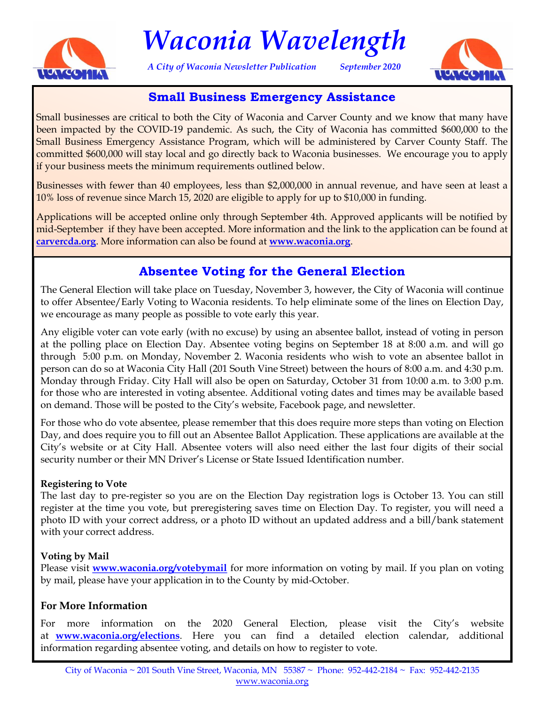

# *Waconia Wavelength*

*A City of Waconia Newsletter Publication September 2020*



# **Small Business Emergency Assistance**

Small businesses are critical to both the City of Waconia and Carver County and we know that many have been impacted by the COVID-19 pandemic. As such, the City of Waconia has committed \$600,000 to the Small Business Emergency Assistance Program, which will be administered by Carver County Staff. The committed \$600,000 will stay local and go directly back to Waconia businesses. We encourage you to apply if your business meets the minimum requirements outlined below.

Businesses with fewer than 40 employees, less than \$2,000,000 in annual revenue, and have seen at least a 10% loss of revenue since March 15, 2020 are eligible to apply for up to \$10,000 in funding.

Applications will be accepted online only through September 4th. Approved applicants will be notified by mid-September if they have been accepted. More information and the link to the application can be found at **carvercda.org**. More information can also be found at **www.waconia.org**.

# **Absentee Voting for the General Election**

The General Election will take place on Tuesday, November 3, however, the City of Waconia will continue to offer Absentee/Early Voting to Waconia residents. To help eliminate some of the lines on Election Day, we encourage as many people as possible to vote early this year.

Any eligible voter can vote early (with no excuse) by using an absentee ballot, instead of voting in person at the polling place on Election Day. Absentee voting begins on September 18 at 8:00 a.m. and will go through 5:00 p.m. on Monday, November 2. Waconia residents who wish to vote an absentee ballot in person can do so at Waconia City Hall (201 South Vine Street) between the hours of 8:00 a.m. and 4:30 p.m. Monday through Friday. City Hall will also be open on Saturday, October 31 from 10:00 a.m. to 3:00 p.m. for those who are interested in voting absentee. Additional voting dates and times may be available based on demand. Those will be posted to the City's website, Facebook page, and newsletter.

For those who do vote absentee, please remember that this does require more steps than voting on Election Day, and does require you to fill out an Absentee Ballot Application. These applications are available at the City's website or at City Hall. Absentee voters will also need either the last four digits of their social security number or their MN Driver's License or State Issued Identification number.

#### **Registering to Vote**

The last day to pre-register so you are on the Election Day registration logs is October 13. You can still register at the time you vote, but preregistering saves time on Election Day. To register, you will need a photo ID with your correct address, or a photo ID without an updated address and a bill/bank statement with your correct address.

#### **Voting by Mail**

Please visit **www.waconia.org/votebymail** for more information on voting by mail. If you plan on voting by mail, please have your application in to the County by mid-October.

#### **For More Information**

For more information on the 2020 General Election, please visit the City's website at **www.waconia.org/elections**. Here you can find a detailed election calendar, additional information regarding absentee voting, and details on how to register to vote.